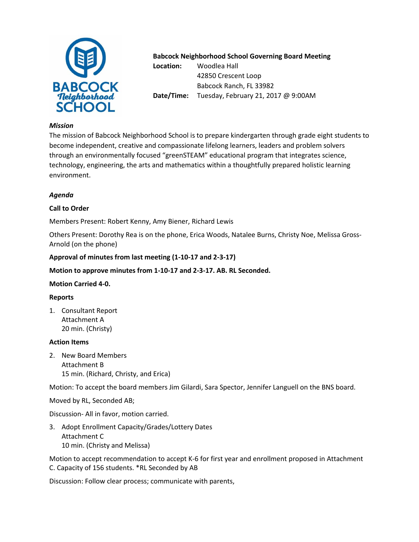

# **Babcock Neighborhood School Governing Board Meeting**

**Location:** Woodlea Hall 42850 Crescent Loop Babcock Ranch, FL 33982 **Date/Time:** Tuesday, February 21, 2017 @ 9:00AM

#### *Mission*

The mission of Babcock Neighborhood School is to prepare kindergarten through grade eight students to become independent, creative and compassionate lifelong learners, leaders and problem solvers through an environmentally focused "greenSTEAM" educational program that integrates science, technology, engineering, the arts and mathematics within a thoughtfully prepared holistic learning environment.

# *Agenda*

# **Call to Order**

Members Present: Robert Kenny, Amy Biener, Richard Lewis

Others Present: Dorothy Rea is on the phone, Erica Woods, Natalee Burns, Christy Noe, Melissa Gross-Arnold (on the phone)

### **Approval of minutes from last meeting (1-10-17 and 2-3-17)**

## **Motion to approve minutes from 1-10-17 and 2-3-17. AB. RL Seconded.**

### **Motion Carried 4-0.**

### **Reports**

1. Consultant Report Attachment A 20 min. (Christy)

#### **Action Items**

2. New Board Members Attachment B 15 min. (Richard, Christy, and Erica)

Motion: To accept the board members Jim Gilardi, Sara Spector, Jennifer Languell on the BNS board.

Moved by RL, Seconded AB;

Discussion- All in favor, motion carried.

3. Adopt Enrollment Capacity/Grades/Lottery Dates Attachment C 10 min. (Christy and Melissa)

Motion to accept recommendation to accept K-6 for first year and enrollment proposed in Attachment C. Capacity of 156 students. \*RL Seconded by AB

Discussion: Follow clear process; communicate with parents,